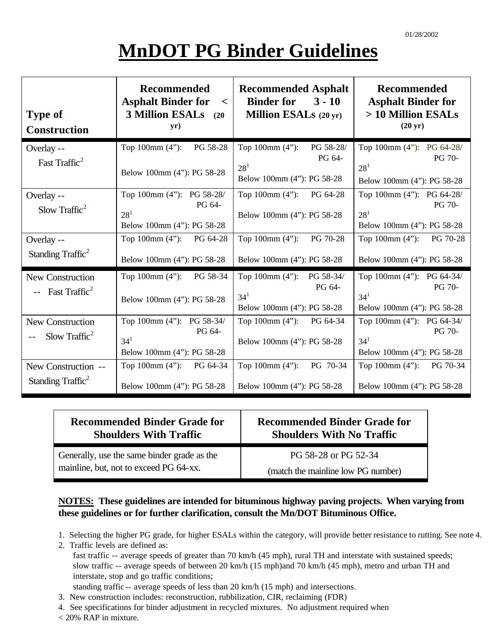# **MnDOT PG Binder Guidelines**

| <b>Type of</b><br><b>Construction</b>                | <b>Recommended</b><br><b>Asphalt Binder for</b><br>$\lt$<br><b>3 Million ESALs</b> (20)<br>yr) | <b>Recommended Asphalt</b><br><b>Binder for</b><br>$3 - 10$<br><b>Million ESALs</b> $(20 \text{ yr})$ | <b>Recommended</b><br><b>Asphalt Binder for</b><br>> 10 Million ESALs<br>$(20 \text{ yr})$     |
|------------------------------------------------------|------------------------------------------------------------------------------------------------|-------------------------------------------------------------------------------------------------------|------------------------------------------------------------------------------------------------|
| Overlay --<br>Fast Traffic <sup>2</sup>              | Top $100 \text{mm} (4")$ :<br>PG 58-28<br>Below 100mm (4"): PG 58-28                           | Top 100mm $(4")$ :<br>PG 58-28/<br>PG 64-<br>28 <sup>1</sup><br>Below 100mm (4"): PG 58-28            | Top 100mm (4"): PG 64-28/<br><b>PG 70-</b><br>28 <sup>1</sup><br>Below 100mm (4"): PG 58-28    |
| Overlay --<br>Slow Traffic <sup>2</sup>              | Top 100mm (4"): PG 58-28/<br>PG 64-<br>$28^{1}$<br>Below 100mm (4"): PG 58-28                  | Top $100 \text{mm} (4)$ :<br>PG 64-28<br>Below 100mm (4"): PG 58-28                                   | Top 100mm (4"): PG 64-28/<br><b>PG 70-</b><br>28 <sup>1</sup><br>Below 100mm (4"): PG 58-28    |
| Overlay --<br>Standing Traffic <sup>2</sup>          | Top 100mm (4"): PG 64-28<br>Below 100mm (4"): PG 58-28                                         | Top $100 \text{mm} (4")$ :<br>PG 70-28<br>Below 100mm (4"): PG 58-28                                  | Top 100mm (4"): PG 70-28<br>Below 100mm (4"): PG 58-28                                         |
| New Construction<br>-- Fast Traffic <sup>2</sup>     | Top $100 \text{mm} (4")$ :<br>PG 58-34<br>Below 100mm (4"): PG 58-28                           | Top 100mm (4"): PG 58-34/<br>PG 64-<br>$34^{1}$<br>Below 100mm (4"): PG 58-28                         | Top 100mm (4"): PG 64-34/<br><b>PG 70-</b><br>34 <sup>1</sup><br>Below 100mm (4"): PG 58-28    |
| New Construction<br>Slow Traffic <sup>2</sup>        | Top 100mm (4"): PG 58-34/<br>PG 64-<br>34 <sup>1</sup><br>Below 100mm (4"): PG 58-28           | Top $100 \text{mm} (4")$ :<br>PG 64-34<br>Below 100mm (4"): PG 58-28                                  | Top 100mm $(4")$ : PG 64-34/<br><b>PG 70-</b><br>34 <sup>1</sup><br>Below 100mm (4"): PG 58-28 |
| New Construction --<br>Standing Traffic <sup>2</sup> | Top 100mm (4"): PG 64-34<br>Below 100mm (4"): PG 58-28                                         | Top $100 \text{mm} (4")$ :<br>PG 70-34<br>Below 100mm (4"): PG 58-28                                  | Top $100 \text{mm} (4)$ :<br>PG 70-34<br>Below 100mm (4"): PG 58-28                            |

| <b>Recommended Binder Grade for</b>         | <b>Recommended Binder Grade for</b> |  |
|---------------------------------------------|-------------------------------------|--|
| <b>Shoulders With Traffic</b>               | <b>Shoulders With No Traffic</b>    |  |
| Generally, use the same binder grade as the | PG 58-28 or PG 52-34                |  |
| mainline, but, not to exceed PG 64-xx.      | (match the mainline low PG number)  |  |

#### **NOTES: These guidelines are intended for bituminous highway paving projects. When varying from these guidelines or for further clarification, consult the Mn/DOT Bituminous Office.**

- 1. Selecting the higher PG grade, for higher ESALs within the category, will provide better resistance to rutting. See note 4.
- 2. Traffic levels are defined as:
	- fast traffic -- average speeds of greater than 70 km/h (45 mph), rural TH and interstate with sustained speeds; slow traffic -- average speeds of between 20 km/h (15 mph)and 70 km/h (45 mph), metro and urban TH and interstate, stop and go traffic conditions;
	- standing traffic -- average speeds of less than 20 km/h (15 mph) and intersections.
- 3. New construction includes: reconstruction, rubbilization, CIR, reclaiming (FDR)
- 4. See specifications for binder adjustment in recycled mixtures. No adjustment required when
- < 20% RAP in mixture.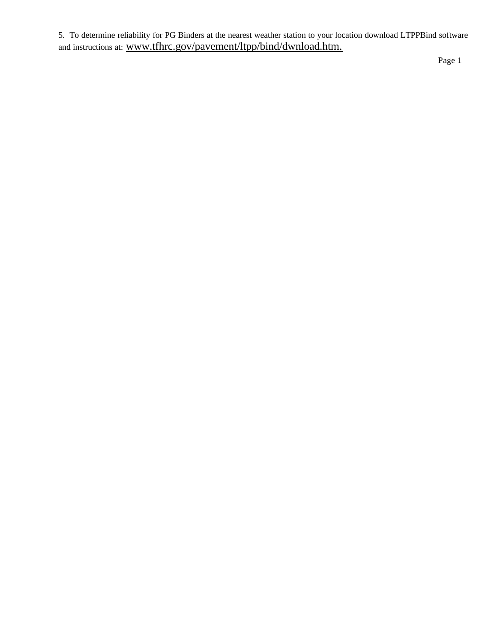5. To determine reliability for PG Binders at the nearest weather station to your location download LTPPBind software and instructions at: www.tfhrc.gov/pavement/ltpp/bind/dwnload.htm.

Page 1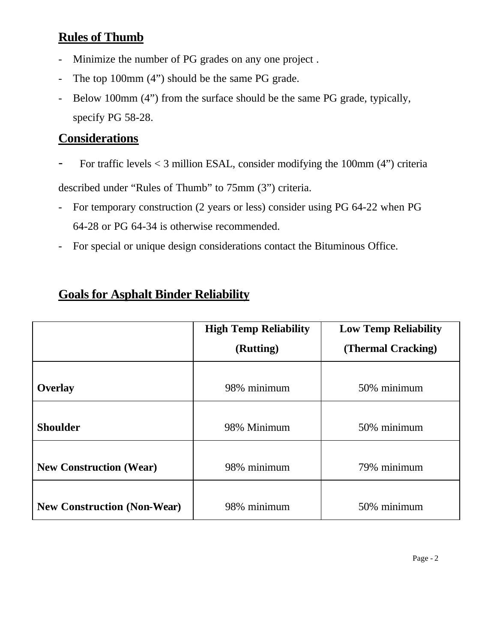## **Rules of Thumb**

- Minimize the number of PG grades on any one project .
- The top 100mm (4") should be the same PG grade.
- Below 100mm (4") from the surface should be the same PG grade, typically, specify PG 58-28.

### **Considerations**

For traffic levels  $<$  3 million ESAL, consider modifying the 100mm (4") criteria

described under "Rules of Thumb" to 75mm (3") criteria.

- For temporary construction (2 years or less) consider using PG 64-22 when PG 64-28 or PG 64-34 is otherwise recommended.
- For special or unique design considerations contact the Bituminous Office.

|                                    | <b>High Temp Reliability</b><br>(Rutting) | <b>Low Temp Reliability</b><br>(Thermal Cracking) |  |  |
|------------------------------------|-------------------------------------------|---------------------------------------------------|--|--|
| Overlay                            | 98% minimum                               | 50% minimum                                       |  |  |
| <b>Shoulder</b>                    | 98% Minimum                               | 50% minimum                                       |  |  |
| <b>New Construction (Wear)</b>     | 98% minimum                               | 79% minimum                                       |  |  |
| <b>New Construction (Non-Wear)</b> | 98% minimum                               | 50% minimum                                       |  |  |

## **Goals for Asphalt Binder Reliability**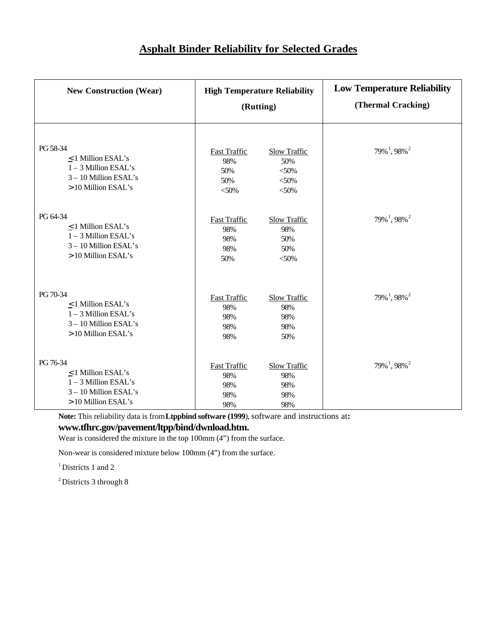| <b>New Construction (Wear)</b> | <b>High Temperature Reliability</b><br>(Rutting) |                     | <b>Low Temperature Reliability</b><br>(Thermal Cracking) |  |
|--------------------------------|--------------------------------------------------|---------------------|----------------------------------------------------------|--|
| PG 58-34                       | <b>Fast Traffic</b>                              | <b>Slow Traffic</b> | $79\%$ <sup>1</sup> , 98% <sup>2</sup>                   |  |
| $\leq$ 1 Million ESAL's        | 98%                                              | 50%                 |                                                          |  |
| $1 - 3$ Million ESAL's         | 50%                                              | $<$ 50%             |                                                          |  |
| 3-10 Million ESAL's            | 50%                                              | $<$ 50%             |                                                          |  |
| > 10 Million ESAL's            | $<$ 50%                                          | $<$ 50%             |                                                          |  |
| PG 64-34                       | <b>Fast Traffic</b>                              | <b>Slow Traffic</b> | $79\%$ <sup>1</sup> , 98% <sup>2</sup>                   |  |
| $\leq$ 1 Million ESAL's        | 98%                                              | 98%                 |                                                          |  |
| $1 - 3$ Million ESAL's         | 98%                                              | 50%                 |                                                          |  |
| 3-10 Million ESAL's            | 98%                                              | 50%                 |                                                          |  |
| > 10 Million ESAL's            | 50%                                              | $<$ 50%             |                                                          |  |
| PG 70-34                       | <b>Fast Traffic</b>                              | <b>Slow Traffic</b> | $79\%$ <sup>1</sup> , 98% <sup>2</sup>                   |  |
| $\leq$ 1 Million ESAL's        | 98%                                              | 98%                 |                                                          |  |
| $1 - 3$ Million ESAL's         | 98%                                              | 98%                 |                                                          |  |
| 3-10 Million ESAL's            | 98%                                              | 98%                 |                                                          |  |
| > 10 Million ESAL's            | 98%                                              | 50%                 |                                                          |  |
| PG 76-34                       | <b>Fast Traffic</b>                              | <b>Slow Traffic</b> | $79\%$ <sup>1</sup> , 98% <sup>2</sup>                   |  |
| $\leq$ 1 Million ESAL's        | 98%                                              | 98%                 |                                                          |  |
| $1 - 3$ Million ESAL's         | 98%                                              | 98%                 |                                                          |  |
| 3-10 Million ESAL's            | 98%                                              | 98%                 |                                                          |  |
| > 10 Million ESAL's            | 98%                                              | 98%                 |                                                          |  |

Note: This reliability data is from Ltppbind software (1999), software and instructions at: **www.tfhrc.gov/pavement/ltpp/bind/dwnload.htm.**

Wear is considered the mixture in the top 100mm (4") from the surface.

Non-wear is considered mixture below 100mm (4") from the surface.

<sup>1</sup> Districts 1 and 2

<sup>2</sup> Districts 3 through 8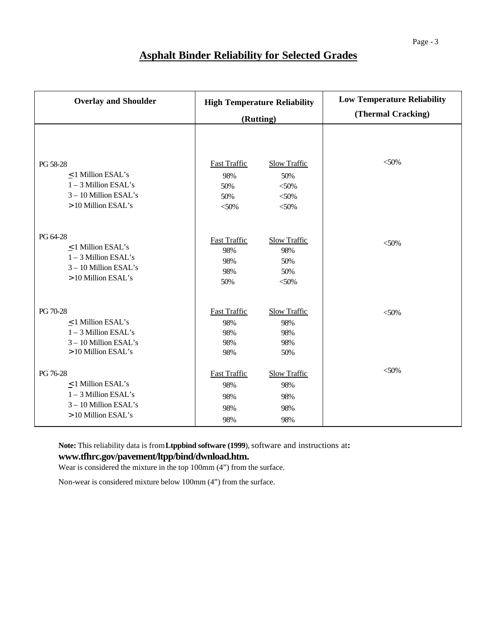### **Asphalt Binder Reliability for Selected Grades**

| <b>Overlay and Shoulder</b> | <b>High Temperature Reliability</b><br>(Rutting) |                     | <b>Low Temperature Reliability</b><br>(Thermal Cracking) |
|-----------------------------|--------------------------------------------------|---------------------|----------------------------------------------------------|
| PG 58-28                    | <b>Fast Traffic</b>                              | <b>Slow Traffic</b> | $<$ 50%                                                  |
| $\leq$ 1 Million ESAL's     | 98%                                              | 50%                 |                                                          |
| $1 - 3$ Million ESAL's      | 50%                                              | $<$ 50%             |                                                          |
| 3-10 Million ESAL's         | 50%                                              | $<$ 50%             |                                                          |
| > 10 Million ESAL's         | $<$ 50%                                          | $<$ 50%             |                                                          |
| PG 64-28                    | <b>Fast Traffic</b>                              | <b>Slow Traffic</b> | $<$ 50%                                                  |
| $\leq$ 1 Million ESAL's     | 98%                                              | 98%                 |                                                          |
| $1 - 3$ Million ESAL's      | 98%                                              | 50%                 |                                                          |
| 3-10 Million ESAL's         | 98%                                              | 50%                 |                                                          |
| > 10 Million ESAL's         | 50%                                              | $<$ 50%             |                                                          |
| PG 70-28                    | <b>Fast Traffic</b>                              | <b>Slow Traffic</b> | $&50\%$                                                  |
| $\leq$ 1 Million ESAL's     | 98%                                              | 98%                 |                                                          |
| $1 - 3$ Million ESAL's      | 98%                                              | 98%                 |                                                          |
| 3-10 Million ESAL's         | 98%                                              | 98%                 |                                                          |
| > 10 Million ESAL's         | 98%                                              | 50%                 |                                                          |
| PG 76-28                    | <b>Fast Traffic</b>                              | <b>Slow Traffic</b> | $&50\%$                                                  |
| $\leq$ 1 Million ESAL's     | 98%                                              | 98%                 |                                                          |
| $1 - 3$ Million ESAL's      | 98%                                              | 98%                 |                                                          |
| 3-10 Million ESAL's         | 98%                                              | 98%                 |                                                          |
| > 10 Million ESAL's         | 98%                                              | 98%                 |                                                          |

Note: This reliability data is from Ltppbind software (1999), software and instructions at: **www.tfhrc.gov/pavement/ltpp/bind/dwnload.htm.**

Wear is considered the mixture in the top 100mm (4") from the surface.

Non-wear is considered mixture below 100mm (4") from the surface.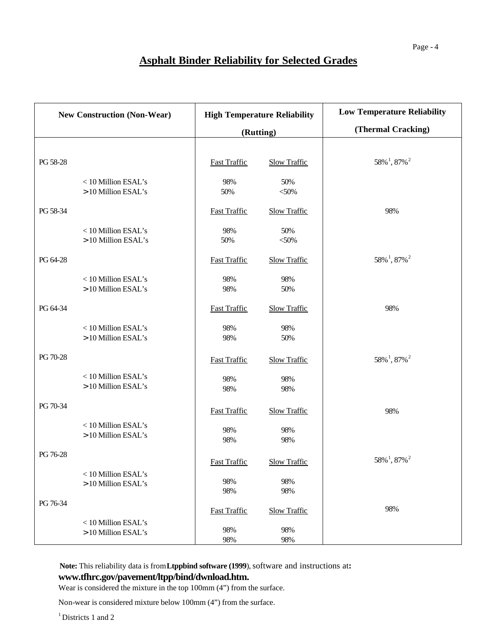## **Asphalt Binder Reliability for Selected Grades**

| <b>New Construction (Non-Wear)</b> |                                            | <b>High Temperature Reliability</b> |                     | <b>Low Temperature Reliability</b>        |  |
|------------------------------------|--------------------------------------------|-------------------------------------|---------------------|-------------------------------------------|--|
|                                    |                                            | (Rutting)                           |                     | (Thermal Cracking)                        |  |
|                                    |                                            |                                     |                     |                                           |  |
| PG 58-28                           |                                            | <b>Fast Traffic</b>                 | <b>Slow Traffic</b> | $58\%$ <sup>1</sup> , 87% <sup>2</sup>    |  |
|                                    | < 10 Million ESAL's<br>> 10 Million ESAL's | 98%<br>50%                          | 50%<br>$<$ 50%      |                                           |  |
| PG 58-34                           |                                            | <b>Fast Traffic</b>                 | <b>Slow Traffic</b> | 98%                                       |  |
|                                    | < 10 Million ESAL's<br>> 10 Million ESAL's | 98%<br>50%                          | 50%<br>$<$ 50%      |                                           |  |
| PG 64-28                           |                                            | <b>Fast Traffic</b>                 | <b>Slow Traffic</b> | $58\%$ <sup>1</sup> , $87\%$ <sup>2</sup> |  |
|                                    | <10 Million ESAL's<br>> 10 Million ESAL's  | 98%<br>98%                          | 98%<br>50%          |                                           |  |
| PG 64-34                           |                                            | <b>Fast Traffic</b>                 | <b>Slow Traffic</b> | 98%                                       |  |
|                                    | <10 Million ESAL's<br>> 10 Million ESAL's  | 98%<br>98%                          | 98%<br>50%          |                                           |  |
| PG 70-28                           |                                            | <b>Fast Traffic</b>                 | <b>Slow Traffic</b> | $58\%$ <sup>1</sup> , $87\%$ <sup>2</sup> |  |
|                                    | <10 Million ESAL's<br>> 10 Million ESAL's  | 98%<br>98%                          | 98%<br>98%          |                                           |  |
| PG 70-34                           |                                            | <b>Fast Traffic</b>                 | <b>Slow Traffic</b> | 98%                                       |  |
|                                    | <10 Million ESAL's<br>> 10 Million ESAL's  | 98%<br>98%                          | 98%<br>98%          |                                           |  |
| PG 76-28                           |                                            | <b>Fast Traffic</b>                 | <b>Slow Traffic</b> | 58% <sup>1</sup> , 87% <sup>2</sup>       |  |
|                                    | <10 Million ESAL's<br>> 10 Million ESAL's  | 98%<br>98%                          | 98%<br>98%          |                                           |  |
| PG 76-34                           |                                            | <b>Fast Traffic</b>                 | <b>Slow Traffic</b> | 98%                                       |  |
|                                    | < 10 Million ESAL's<br>> 10 Million ESAL's | 98%<br>98%                          | 98%<br>98%          |                                           |  |

Note: This reliability data is from Ltppbind software (1999), software and instructions at: **www.tfhrc.gov/pavement/ltpp/bind/dwnload.htm.**

Wear is considered the mixture in the top 100mm (4") from the surface.

Non-wear is considered mixture below 100mm (4") from the surface.

<sup>1</sup> Districts 1 and 2